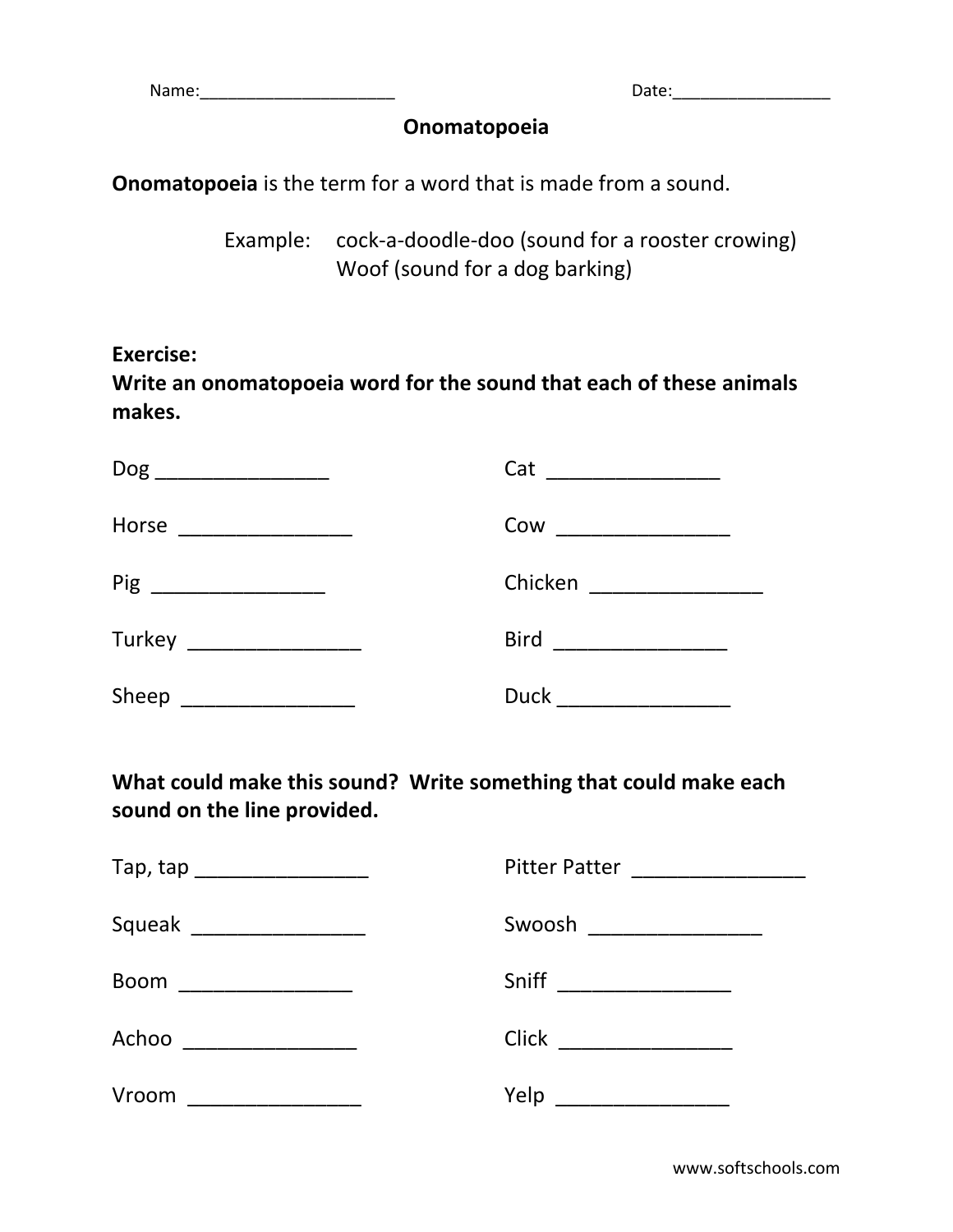Name:\_\_\_\_\_\_\_\_\_\_\_\_\_\_\_\_\_\_\_\_\_ Date:\_\_\_\_\_\_\_\_\_\_\_\_\_\_\_\_\_

## **Onomatopoeia**

**Onomatopoeia** is the term for a word that is made from a sound.

Example: cock-a-doodle-doo (sound for a rooster crowing) Woof (sound for a dog barking)

**Exercise:** 

**Write an onomatopoeia word for the sound that each of these animals makes.**

| Dog                          | Cat         |
|------------------------------|-------------|
| ____________________________ |             |
| Horse                        | Cow         |
|                              |             |
| Pig                          | Chicken     |
|                              |             |
| Turkey __________________    | <b>Bird</b> |
| Sheep                        | <b>Duck</b> |

**What could make this sound? Write something that could make each sound on the line provided.**

| Tap, tap ______________________ | <b>Pitter Patter</b>                      |
|---------------------------------|-------------------------------------------|
| Squeak                          | Swoosh                                    |
|                                 | <u> 1989 - Johann Barn, mars et al. (</u> |
| <b>Boom</b>                     | Sniff                                     |
|                                 |                                           |
| Achoo                           | <b>Click</b>                              |
| Vroom                           | Yelp                                      |
| __________________              |                                           |